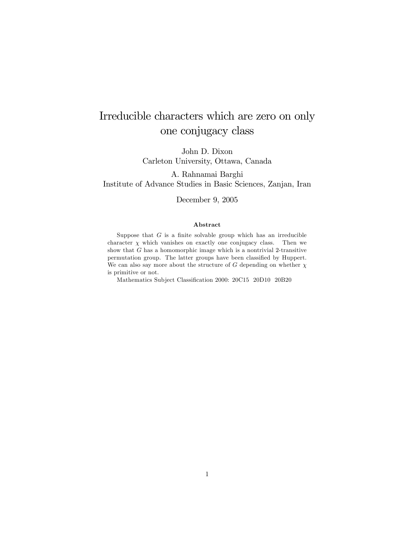# Irreducible characters which are zero on only one conjugacy class

John D. Dixon Carleton University, Ottawa, Canada

A. Rahnamai Barghi Institute of Advance Studies in Basic Sciences, Zanjan, Iran

#### December 9, 2005

#### Abstract

Suppose that  $G$  is a finite solvable group which has an irreducible character  $\chi$  which vanishes on exactly one conjugacy class. Then we show that  $G$  has a homomorphic image which is a nontrivial 2-transitive permutation group. The latter groups have been classified by Huppert. We can also say more about the structure of G depending on whether  $\chi$ is primitive or not.

Mathematics Subject Classification 2000: 20C15 20D10 20B20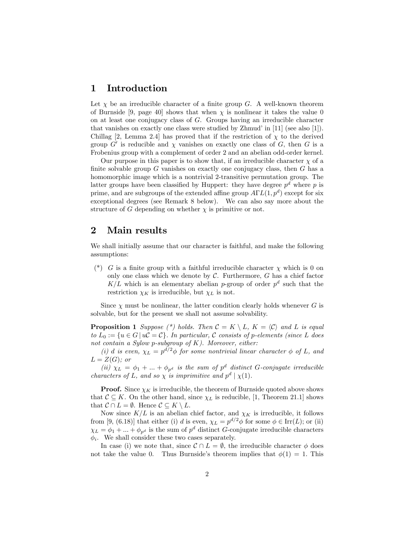#### 1 Introduction

Let  $\chi$  be an irreducible character of a finite group G. A well-known theorem of Burnside [9, page 40] shows that when  $\chi$  is nonlinear it takes the value 0 on at least one conjugacy class of G. Groups having an irreducible character that vanishes on exactly one class were studied by Zhmud' in  $[11]$  (see also  $[1]$ ). Chillag [2, Lemma 2.4] has proved that if the restriction of  $\chi$  to the derived group  $G'$  is reducible and  $\chi$  vanishes on exactly one class of  $G$ , then  $G$  is a Frobenius group with a complement of order 2 and an abelian odd-order kernel.

Our purpose in this paper is to show that, if an irreducible character  $\chi$  of a finite solvable group  $G$  vanishes on exactly one conjugacy class, then  $G$  has a homomorphic image which is a nontrivial 2-transitive permutation group. The latter groups have been classified by Huppert: they have degree  $p^d$  where p is prime, and are subgroups of the extended affine group  $A\Gamma L(1,p^d)$  except for six exceptional degrees (see Remark 8 below). We can also say more about the structure of G depending on whether  $\chi$  is primitive or not.

### 2 Main results

We shall initially assume that our character is faithful, and make the following assumptions:

(\*) G is a finite group with a faithful irreducible character  $\chi$  which is 0 on only one class which we denote by  $C$ . Furthermore,  $G$  has a chief factor  $K/L$  which is an elementary abelian p-group of order  $p^d$  such that the restriction  $\chi_K$  is irreducible, but  $\chi_L$  is not.

Since  $\chi$  must be nonlinear, the latter condition clearly holds whenever G is solvable, but for the present we shall not assume solvability.

**Proposition 1** Suppose (\*) holds. Then  $C = K \setminus L$ ,  $K = \langle C \rangle$  and L is equal to  $L_0 := \{u \in G \mid u\mathcal{C} = \mathcal{C}\}\$ . In particular, C consists of p-elements (since L does not contain a Sylow p-subgroup of  $K$ ). Moreover, either:

(i) d is even,  $\chi_L = p^{d/2} \phi$  for some nontrivial linear character  $\phi$  of L, and  $L = Z(G)$ ; or

(ii)  $\chi_L = \phi_1 + ... + \phi_{p^d}$  is the sum of  $p^d$  distinct G-conjugate irreducible characters of L, and so  $\chi$  is imprimitive and  $p^d | \chi(1)$ .

**Proof.** Since  $\chi_K$  is irreducible, the theorem of Burnside quoted above shows that  $\mathcal{C} \subseteq K$ . On the other hand, since  $\chi_L$  is reducible, [1, Theorem 21.1] shows that  $C \cap L = \emptyset$ . Hence  $C \subseteq K \setminus L$ .

Now since  $K/L$  is an abelian chief factor, and  $\chi_K$  is irreducible, it follows from [9, (6.18)] that either (i) d is even,  $\chi_L = p^{d/2} \phi$  for some  $\phi \in \text{Irr}(L)$ ; or (ii)  $\chi_L = \phi_1 + ... + \phi_{p^d}$  is the sum of  $p^d$  distinct G-conjugate irreducible characters  $\phi_i$ . We shall consider these two cases separately.

In case (i) we note that, since  $\mathcal{C} \cap L = \emptyset$ , the irreducible character  $\phi$  does not take the value 0. Thus Burnside's theorem implies that  $\phi(1) = 1$ . This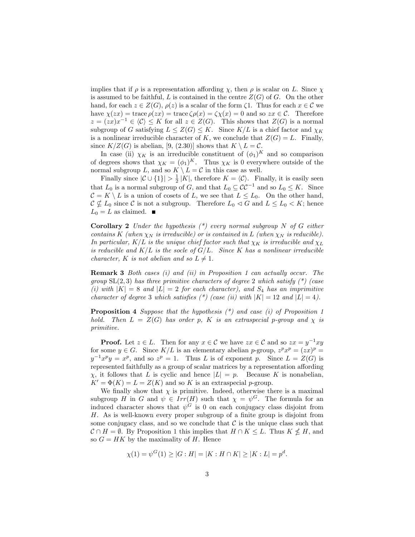implies that if  $\rho$  is a representation affording  $\chi$ , then  $\rho$  is scalar on L. Since  $\chi$ is assumed to be faithful, L is contained in the centre  $Z(G)$  of G. On the other hand, for each  $z \in Z(G)$ ,  $\rho(z)$  is a scalar of the form  $\zeta$ . Thus for each  $x \in \mathcal{C}$  we have  $\chi(zx) = \text{trace}\,\rho(zx) = \text{trace}\,\zeta\rho(x) = \zeta\chi(x) = 0$  and so  $zx \in \mathcal{C}$ . Therefore  $z = (zx)x^{-1} \in \langle \mathcal{C} \rangle \leq K$  for all  $z \in Z(G)$ . This shows that  $Z(G)$  is a normal subgroup of G satisfying  $L \leq Z(G) \leq K$ . Since  $K/L$  is a chief factor and  $\chi_K$ is a nonlinear irreducible character of K, we conclude that  $Z(G) = L$ . Finally, since  $K/Z(G)$  is abelian, [9, (2.30)] shows that  $K \setminus L = \mathcal{C}$ .

In case (ii)  $\chi_K$  is an irreducible constituent of  $(\phi_1)^K$  and so comparison of degrees shows that  $\chi_K = (\phi_1)^K$ . Thus  $\chi_K$  is 0 everywhere outside of the normal subgroup L, and so  $K \setminus L = C$  in this case as well.

Finally since  $|\mathcal{C} \cup \{1\}| > \frac{1}{2}|K|$ , therefore  $K = \langle \mathcal{C} \rangle$ . Finally, it is easily seen that  $L_0$  is a normal subgroup of G, and that  $L_0 \subseteq \mathcal{CC}^{-1}$  and so  $L_0 \leq K$ . Since  $C = K \setminus L$  is a union of cosets of L, we see that  $L \le L_0$ . On the other hand,  $C \nsubseteq L_0$  since C is not a subgroup. Therefore  $L_0 \lhd G$  and  $L \leq L_0 \lhd K$ ; hence  $L_0 = L$  as claimed.  $\blacksquare$ 

**Corollary 2** Under the hypothesis  $(*)$  every normal subgroup N of G either contains K (when  $\chi_N$  is irreducible) or is contained in L (when  $\chi_N$  is reducible). In particular,  $K/L$  is the unique chief factor such that  $\chi_K$  is irreducible and  $\chi_L$ is reducible and  $K/L$  is the socle of  $G/L$ . Since K has a nonlinear irreducible character, K is not abelian and so  $L \neq 1$ .

Remark 3 Both cases (i) and (ii) in Proposition 1 can actually occur. The group  $SL(2,3)$  has three primitive characters of degree 2 which satisfy  $(*)$  (case (i) with  $|K| = 8$  and  $|L| = 2$  for each character), and  $S_4$  has an imprimitive character of degree 3 which satisfies  $(*)$  (case (ii) with  $|K| = 12$  and  $|L| = 4$ ).

**Proposition 4** Suppose that the hypothesis  $(*)$  and case  $(i)$  of Proposition 1 hold. Then  $L = Z(G)$  has order p, K is an extraspecial p-group and  $\chi$  is primitive.

**Proof.** Let  $z \in L$ . Then for any  $x \in C$  we have  $zx \in C$  and so  $zx = y^{-1}xy$ for some  $y \in G$ . Since  $K/L$  is an elementary abelian p-group,  $z^p x^p = (zx)^p =$  $y^{-1}x^py = x^p$ , and so  $z^p = 1$ . Thus L is of exponent p. Since  $L = Z(G)$  is represented faithfully as a group of scalar matrices by a representation affording  $\chi$ , it follows that L is cyclic and hence  $|L| = p$ . Because K is nonabelian,  $K' = \Phi(K) = L = Z(K)$  and so K is an extraspecial p-group.

We finally show that  $\chi$  is primitive. Indeed, otherwise there is a maximal subgroup H in G and  $\psi \in Irr(H)$  such that  $\chi = \psi^G$ . The formula for an induced character shows that  $\psi^G$  is 0 on each conjugacy class disjoint from  $H$ . As is well-known every proper subgroup of a finite group is disjoint from some conjugacy class, and so we conclude that  $\mathcal C$  is the unique class such that  $\mathcal{C} \cap H = \emptyset$ . By Proposition 1 this implies that  $H \cap K \leq L$ . Thus  $K \nleq H$ , and so  $G = HK$  by the maximality of H. Hence

$$
\chi(1) = \psi^G(1) \ge |G : H| = |K : H \cap K| \ge |K : L| = p^d.
$$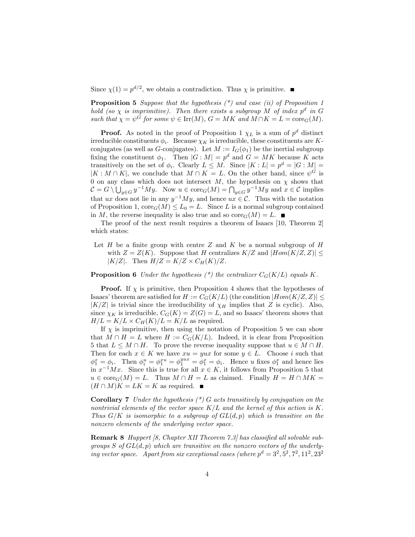Since  $\chi(1) = p^{d/2}$ , we obtain a contradiction. Thus  $\chi$  is primitive.

**Proposition 5** Suppose that the hypothesis  $(*)$  and case  $(ii)$  of Proposition 1 hold (so  $\chi$  is imprimitive). Then there exists a subgroup M of index  $p^d$  in G such that  $\chi = \psi^G$  for some  $\psi \in \text{Irr}(M)$ ,  $G = MK$  and  $M \cap K = L = \text{core}_G(M)$ .

**Proof.** As noted in the proof of Proposition 1  $\chi_L$  is a sum of  $p^d$  distinct irreducible constituents  $\phi_i$ . Because  $\chi_K$  is irreducible, these constituents are Kconjugates (as well as G-conjugates). Let  $M := I_G(\phi_1)$  be the inertial subgroup fixing the constituent  $\phi_1$ . Then  $|G : M| = p^d$  and  $G = MK$  because K acts transitively on the set of  $\phi_i$ . Clearly  $L \leq M$ . Since  $|K : L| = p^d = |G : M| =$  $[K : M \cap K]$ , we conclude that  $M \cap K = L$ . On the other hand, since  $\psi^G$  is 0 on any class which does not intersect  $M$ , the hypothesis on  $\chi$  shows that  $\mathcal{C} = G \setminus \bigcup_{y \in G} y^{-1}My$ . Now  $u \in \text{core}_G(M) = \bigcap_{y \in G} y^{-1}My$  and  $x \in \mathcal{C}$  implies that ux does not lie in any  $y^{-1}My$ , and hence  $ux \in \mathcal{C}$ . Thus with the notation of Proposition 1,  $\text{core}_G(M) \leq L_0 = L$ . Since L is a normal subgroup contained in M, the reverse inequality is also true and so  $\text{core}_G(M) = L$ .

The proof of the next result requires a theorem of Isaacs [10, Theorem 2] which states:

Let  $H$  be a finite group with centre  $Z$  and  $K$  be a normal subgroup of  $H$ with  $Z = Z(K)$ . Suppose that H centralizes  $K/Z$  and  $|Hom(K/Z, Z)| \le$ | $K/Z$ |. Then  $H/Z = K/Z \times C_H(K)/Z$ .

**Proposition 6** Under the hypothesis  $(*)$  the centralizer  $C_G(K/L)$  equals K.

**Proof.** If  $\chi$  is primitive, then Proposition 4 shows that the hypotheses of Isaacs' theorem are satisfied for  $H := C_G(K/L)$  (the condition  $|Hom(K/Z, Z)| \leq$  $|K/Z|$  is trivial since the irreducibility of  $\chi_H$  implies that Z is cyclic). Also, since  $\chi_K$  is irreducible,  $C_G(K) = Z(G) = L$ , and so Isaacs' theorem shows that  $H/L = K/L \times C_H(K)/L = K/L$  as required.

If  $\chi$  is imprimitive, then using the notation of Proposition 5 we can show that  $M \cap H = L$  where  $H := C_G(K/L)$ . Indeed, it is clear from Proposition 5 that  $L \leq M \cap H$ . To prove the reverse inequality suppose that  $u \in M \cap H$ . Then for each  $x \in K$  we have  $xu = yux$  for some  $y \in L$ . Choose i such that  $\phi_1^x = \phi_i$ . Then  $\phi_i^u = \phi_1^{xu} = \phi_1^{yux} = \phi_1^x = \phi_i$ . Hence u fixes  $\phi_1^x$  and hence lies in  $x^{-1}Mx$ . Since this is true for all  $x \in K$ , it follows from Proposition 5 that  $u \in \text{core}_G(M) = L$ . Thus  $M \cap H = L$  as claimed. Finally  $H = H \cap MK =$  $(H \cap M)K = LK = K$  as required.

**Corollary 7** Under the hypothesis  $(*)$  G acts transitively by conjugation on the nontrivial elements of the vector space  $K/L$  and the kernel of this action is K. Thus  $G/K$  is isomorphic to a subgroup of  $GL(d, p)$  which is transitive on the nonzero elements of the underlying vector space.

**Remark 8** Huppert [8, Chapter XII Theorem 7.3] has classified all solvable subgroups  $S$  of  $GL(d, p)$  which are transitive on the nonzero vectors of the underlying vector space. Apart from six exceptional cases (where  $p^d = 3^2, 5^2, 7^2, 11^2, 23^2$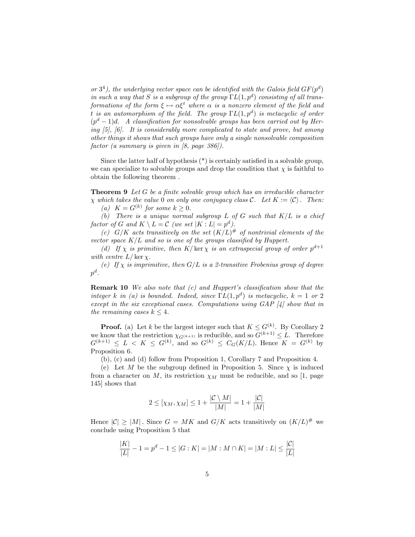or  $3<sup>4</sup>$ ), the underlying vector space can be identified with the Galois field  $GF(p<sup>d</sup>)$ in such a way that S is a subgroup of the group  $\Gamma L(1,p^d)$  consisting of all transformations of the form  $\xi \mapsto \alpha \xi^t$  where  $\alpha$  is a nonzero element of the field and t is an automorphism of the field. The group  $\Gamma L(1,p^d)$  is metacyclic of order  $(p<sup>d</sup> - 1)d$ . A classification for nonsolvable groups has been carried out by Hering [5], [6]. It is considerably more complicated to state and prove, but among other things it shows that such groups have only a single nonsolvable composition factor (a summary is given in [8, page 386]).

Since the latter half of hypothesis  $(*)$  is certainly satisfied in a solvable group, we can specialize to solvable groups and drop the condition that  $\chi$  is faithful to obtain the following theorem .

**Theorem 9** Let  $G$  be a finite solvable group which has an irreducible character  $\chi$  which takes the value 0 on only one conjugacy class C. Let  $K := \langle C \rangle$ . Then: (a)  $K = G^{(k)}$  for some  $k \geq 0$ .

(b) There is a unique normal subgroup L of G such that  $K/L$  is a chief factor of G and  $K \setminus L = C$  (we set  $|K : L| = p^d$ ).

(c)  $G/K$  acts transitively on the set  $(K/L)^{\#}$  of nontrivial elements of the vector space  $K/L$  and so is one of the groups classified by Huppert.

(d) If  $\chi$  is primitive, then K | ker  $\chi$  is an extraspecial group of order  $p^{d+1}$ with centre  $L/\ker \chi$ .

(e) If  $\chi$  is imprimitive, then  $G/L$  is a 2-transitive Frobenius group of degree  $p^d$  .

**Remark 10** We also note that  $(c)$  and Huppert's classification show that the integer k in (a) is bounded. Indeed, since  $\Gamma L(1,p^d)$  is metacyclic,  $k = 1$  or 2 except in the six exceptional cases. Computations using GAP [4] show that in the remaining cases  $k \leq 4$ .

**Proof.** (a) Let k be the largest integer such that  $K \leq G^{(k)}$ . By Corollary 2 we know that the restriction  $\chi_{G(k+1)}$  is reducible, and so  $G(k+1) \leq L$ . Therefore  $G^{(k+1)} \leq L < K \leq G^{(k)}$ , and so  $G^{(k)} \leq C_G(K/L)$ . Hence  $K = G^{(k)}$  by Proposition 6:

(b), (c) and (d) follow from Proposition 1, Corollary 7 and Proposition 4.

(e) Let M be the subgroup defined in Proposition 5. Since  $\chi$  is induced from a character on M, its restriction  $\chi_M$  must be reducible, and so [1, page 145] shows that

$$
2 \leq [\chi_M, \chi_M] \leq 1 + \frac{|\mathcal{C} \setminus M|}{|M|} = 1 + \frac{|\mathcal{C}|}{|M|}
$$

Hence  $|C| \geq |M|$ . Since  $G = MK$  and  $G/K$  acts transitively on  $(K/L)^{\#}$  we conclude using Proposition 5 that

$$
\frac{|K|}{|L|} - 1 = p^d - 1 \le |G : K| = |M : M \cap K| = |M : L| \le \frac{|C|}{|L|}
$$